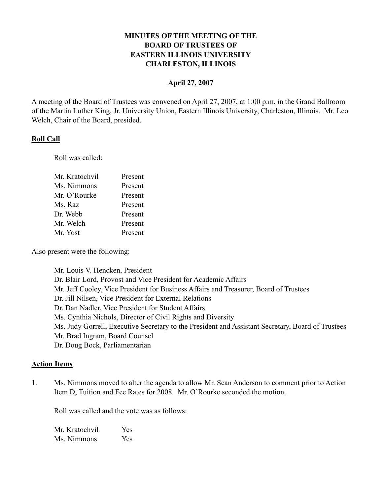# **MINUTES OF THE MEETING OF THE BOARD OF TRUSTEES OF EASTERN ILLINOIS UNIVERSITY CHARLESTON, ILLINOIS**

### **April 27, 2007**

A meeting of the Board of Trustees was convened on April 27, 2007, at 1:00 p.m. in the Grand Ballroom of the Martin Luther King, Jr. University Union, Eastern Illinois University, Charleston, Illinois. Mr. Leo Welch, Chair of the Board, presided.

### **Roll Call**

Roll was called:

| Mr. Kratochvil | Present |
|----------------|---------|
| Ms. Nimmons    | Present |
| Mr. O'Rourke   | Present |
| Ms. Raz        | Present |
| Dr. Webb       | Present |
| Mr. Welch      | Present |
| Mr. Yost       | Present |

Also present were the following:

Mr. Louis V. Hencken, President Dr. Blair Lord, Provost and Vice President for Academic Affairs Mr. Jeff Cooley, Vice President for Business Affairs and Treasurer, Board of Trustees Dr. Jill Nilsen, Vice President for External Relations Dr. Dan Nadler, Vice President for Student Affairs Ms. Cynthia Nichols, Director of Civil Rights and Diversity Ms. Judy Gorrell, Executive Secretary to the President and Assistant Secretary, Board of Trustees Mr. Brad Ingram, Board Counsel Dr. Doug Bock, Parliamentarian

## **Action Items**

1. Ms. Nimmons moved to alter the agenda to allow Mr. Sean Anderson to comment prior to Action Item D, Tuition and Fee Rates for 2008. Mr. O'Rourke seconded the motion.

Roll was called and the vote was as follows:

Mr. Kratochvil Yes Ms. Nimmons Yes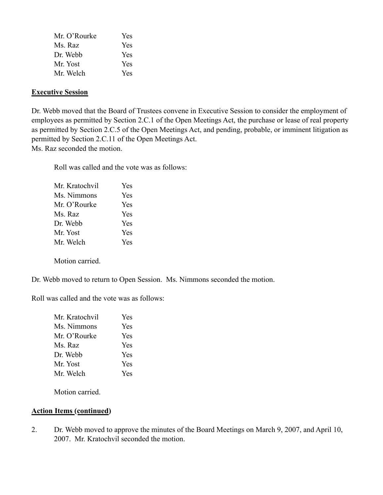| Mr. O'Rourke | <b>Yes</b> |
|--------------|------------|
| Ms. Raz      | Yes        |
| Dr Webb      | Yes        |
| Mr. Yost     | <b>Yes</b> |
| Mr Welch     | <b>Yes</b> |

## **Executive Session**

Dr. Webb moved that the Board of Trustees convene in Executive Session to consider the employment of employees as permitted by Section 2.C.1 of the Open Meetings Act, the purchase or lease of real property as permitted by Section 2.C.5 of the Open Meetings Act, and pending, probable, or imminent litigation as permitted by Section 2.C.11 of the Open Meetings Act. Ms. Raz seconded the motion.

Roll was called and the vote was as follows:

| Mr. Kratochvil | <b>Yes</b> |
|----------------|------------|
| Ms. Nimmons    | Yes        |
| Mr. O'Rourke   | Yes        |
| Ms. Raz        | Yes        |
| Dr. Webb       | Yes        |
| Mr. Yost       | Yes        |
| Mr. Welch      | Yes        |

Motion carried.

Dr. Webb moved to return to Open Session. Ms. Nimmons seconded the motion.

Roll was called and the vote was as follows:

| Mr. Kratochvil | <b>Yes</b> |
|----------------|------------|
| Ms. Nimmons    | Yes        |
| Mr. O'Rourke   | Yes        |
| Ms. Raz        | Yes        |
| Dr. Webb       | Yes        |
| Mr. Yost       | Yes        |
| Mr. Welch      | Yes        |
|                |            |

Motion carried.

### **Action Items (continued)**

2. Dr. Webb moved to approve the minutes of the Board Meetings on March 9, 2007, and April 10, 2007. Mr. Kratochvil seconded the motion.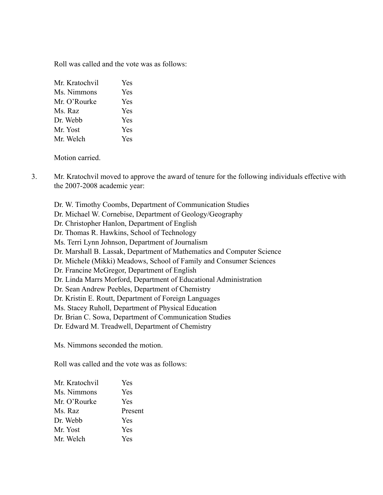Roll was called and the vote was as follows:

| Mr. Kratochvil | Yes |
|----------------|-----|
| Ms. Nimmons    | Yes |
| Mr. O'Rourke   | Yes |
| Ms. Raz        | Yes |
| Dr. Webb       | Yes |
| Mr Yost        | Yes |
| Mr. Welch      | Yes |

Motion carried.

- 3. Mr. Kratochvil moved to approve the award of tenure for the following individuals effective with the 2007-2008 academic year:
	- Dr. W. Timothy Coombs, Department of Communication Studies
	- Dr. Michael W. Cornebise, Department of Geology/Geography
	- Dr. Christopher Hanlon, Department of English
	- Dr. Thomas R. Hawkins, School of Technology
	- Ms. Terri Lynn Johnson, Department of Journalism
	- Dr. Marshall B. Lassak, Department of Mathematics and Computer Science
	- Dr. Michele (Mikki) Meadows, School of Family and Consumer Sciences
	- Dr. Francine McGregor, Department of English
	- Dr. Linda Marrs Morford, Department of Educational Administration
	- Dr. Sean Andrew Peebles, Department of Chemistry
	- Dr. Kristin E. Routt, Department of Foreign Languages
	- Ms. Stacey Ruholl, Department of Physical Education
	- Dr. Brian C. Sowa, Department of Communication Studies
	- Dr. Edward M. Treadwell, Department of Chemistry

Ms. Nimmons seconded the motion.

Roll was called and the vote was as follows:

| Mr. Kratochvil | Yes     |
|----------------|---------|
| Ms. Nimmons    | Yes     |
| Mr. O'Rourke   | Yes     |
| Ms. Raz        | Present |
| Dr. Webb       | Yes     |
| Mr. Yost       | Yes     |
| Mr. Welch      | Yes     |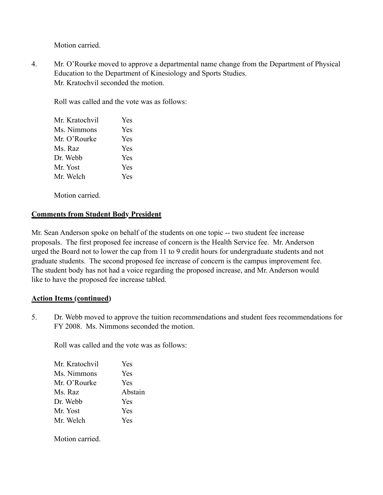Motion carried.

4. Mr. O'Rourke moved to approve a departmental name change from the Department of Physical Education to the Department of Kinesiology and Sports Studies. Mr. Kratochvil seconded the motion.

Roll was called and the vote was as follows:

| Mr. Kratochvil | Yes |
|----------------|-----|
| Ms. Nimmons    | Yes |
| Mr. O'Rourke   | Yes |
| Ms. Raz        | Yes |
| Dr. Webb       | Yes |
| Mr. Yost       | Yes |
| Mr. Welch      | Yes |
|                |     |

Motion carried.

# **Comments from Student Body President**

Mr. Sean Anderson spoke on behalf of the students on one topic -- two student fee increase proposals. The first proposed fee increase of concern is the Health Service fee. Mr. Anderson urged the Board not to lower the cap from 11 to 9 credit hours for undergraduate students and not graduate students. The second proposed fee increase of concern is the campus improvement fee. The student body has not had a voice regarding the proposed increase, and Mr. Anderson would like to have the proposed fee increase tabled.

## **Action Items (continued)**

5. Dr. Webb moved to approve the tuition recommendations and student fees recommendations for FY 2008. Ms. Nimmons seconded the motion.

Roll was called and the vote was as follows:

| Mr. Kratochvil | Yes     |
|----------------|---------|
| Ms. Nimmons    | Yes     |
| Mr. O'Rourke   | Yes     |
| Ms. Raz        | Abstain |
| Dr. Webb       | Yes     |
| Mr. Yost       | Yes     |
| Mr. Welch      | Yes     |

Motion carried.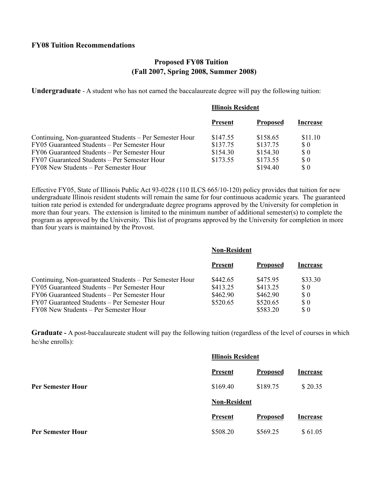## **Proposed FY08 Tuition (Fall 2007, Spring 2008, Summer 2008)**

**Undergraduate** - A student who has not earned the baccalaureate degree will pay the following tuition:

#### **Illinois Resident**

|                                                         | <b>Present</b> | <b>Proposed</b> | Increase                                         |
|---------------------------------------------------------|----------------|-----------------|--------------------------------------------------|
| Continuing, Non-guaranteed Students – Per Semester Hour | \$147.55       | \$158.65        | \$11.10                                          |
| FY05 Guaranteed Students – Per Semester Hour            | \$137.75       | \$137.75        | $\Omega$                                         |
| FY06 Guaranteed Students – Per Semester Hour            | \$154.30       | \$154.30        | $\Omega$                                         |
| FY07 Guaranteed Students – Per Semester Hour            | \$173.55       | \$173.55        | $\boldsymbol{\mathsf{S}}\boldsymbol{\mathsf{0}}$ |
| FY08 New Students – Per Semester Hour                   |                | \$194.40        | $\Omega$                                         |

Effective FY05, State of Illinois Public Act 93-0228 (110 ILCS 665/10-120) policy provides that tuition for new undergraduate Illinois resident students will remain the same for four continuous academic years. The guaranteed tuition rate period is extended for undergraduate degree programs approved by the University for completion in more than four years. The extension is limited to the minimum number of additional semester(s) to complete the program as approved by the University. This list of programs approved by the University for completion in more than four years is maintained by the Provost.

|                                                         | <b>Non-Resident</b> |                 |          |
|---------------------------------------------------------|---------------------|-----------------|----------|
|                                                         | <b>Present</b>      | <b>Proposed</b> | Increase |
| Continuing, Non-guaranteed Students – Per Semester Hour | \$442.65            | \$475.95        | \$33.30  |
| FY05 Guaranteed Students – Per Semester Hour            | \$413.25            | \$413.25        | $\Omega$ |
| FY06 Guaranteed Students – Per Semester Hour            | \$462.90            | \$462.90        | $\Omega$ |
| FY07 Guaranteed Students – Per Semester Hour            | \$520.65            | \$520.65        | $\Omega$ |
| FY08 New Students – Per Semester Hour                   |                     | \$583.20        | \$0      |

**Graduate -** A post-baccalaureate student will pay the following tuition (regardless of the level of courses in which he/she enrolls):

|                          | <b>Illinois Resident</b> |                 |                 |
|--------------------------|--------------------------|-----------------|-----------------|
|                          | <b>Present</b>           | <b>Proposed</b> | <b>Increase</b> |
| <b>Per Semester Hour</b> | \$169.40                 | \$189.75        | \$20.35         |
|                          | <b>Non-Resident</b>      |                 |                 |
|                          | <b>Present</b>           | <b>Proposed</b> | <b>Increase</b> |
| <b>Per Semester Hour</b> | \$508.20                 | \$569.25        | \$61.05         |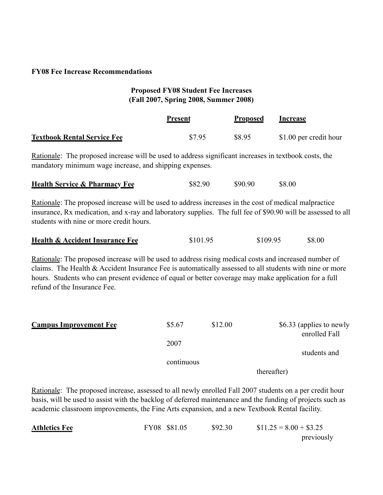### **FY08 Fee Increase Recommendations**

# **Proposed FY08 Student Fee Increases (Fall 2007, Spring 2008, Summer 2008)**

|                                                                                                                                                                                                                                                                                                                                                          | <b>Present</b> | <b>Proposed</b> | <b>Increase</b>                           |  |
|----------------------------------------------------------------------------------------------------------------------------------------------------------------------------------------------------------------------------------------------------------------------------------------------------------------------------------------------------------|----------------|-----------------|-------------------------------------------|--|
| <b>Textbook Rental Service Fee</b>                                                                                                                                                                                                                                                                                                                       | \$7.95         | \$8.95          | \$1.00 per credit hour                    |  |
| Rationale: The proposed increase will be used to address significant increases in textbook costs, the<br>mandatory minimum wage increase, and shipping expenses.                                                                                                                                                                                         |                |                 |                                           |  |
| <b>Health Service &amp; Pharmacy Fee</b>                                                                                                                                                                                                                                                                                                                 | \$82.90        | \$90.90         | \$8.00                                    |  |
| Rationale: The proposed increase will be used to address increases in the cost of medical malpractice<br>insurance, Rx medication, and x-ray and laboratory supplies. The full fee of \$90.90 will be assessed to all<br>students with nine or more credit hours.                                                                                        |                |                 |                                           |  |
| <b>Health &amp; Accident Insurance Fee</b>                                                                                                                                                                                                                                                                                                               | \$101.95       | \$109.95        | \$8.00                                    |  |
| Rationale: The proposed increase will be used to address rising medical costs and increased number of<br>claims. The Health & Accident Insurance Fee is automatically assessed to all students with nine or more<br>hours. Students who can present evidence of equal or better coverage may make application for a full<br>refund of the Insurance Fee. |                |                 |                                           |  |
| <b>Campus Improvement Fee</b>                                                                                                                                                                                                                                                                                                                            | \$5.67<br>2007 | \$12.00         | \$6.33 (applies to newly<br>enrolled Fall |  |
|                                                                                                                                                                                                                                                                                                                                                          |                |                 | students and                              |  |
|                                                                                                                                                                                                                                                                                                                                                          | continuous     | thereafter)     |                                           |  |

Rationale: The proposed increase, assessed to all newly enrolled Fall 2007 students on a per credit hour basis, will be used to assist with the backlog of deferred maintenance and the funding of projects such as academic classroom improvements, the Fine Arts expansion, and a new Textbook Rental facility.

| <b>Athletics Fee</b> | FY08 \$81.05 | \$92.30 | $$11.25 = 8.00 + $3.25$ |
|----------------------|--------------|---------|-------------------------|
|                      |              |         | previously              |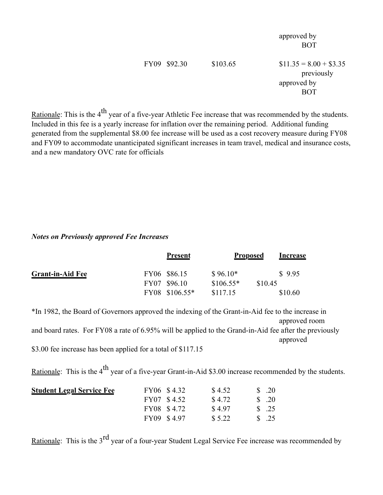|              |          | approved by<br><b>BOT</b>                                          |
|--------------|----------|--------------------------------------------------------------------|
| FY09 \$92.30 | \$103.65 | $$11.35 = 8.00 + $3.35$<br>previously<br>approved by<br><b>BOT</b> |

Rationale: This is the 4<sup>th</sup> year of a five-year Athletic Fee increase that was recommended by the students. Included in this fee is a yearly increase for inflation over the remaining period. Additional funding generated from the supplemental \$8.00 fee increase will be used as a cost recovery measure during FY08 and FY09 to accommodate unanticipated significant increases in team travel, medical and insurance costs, and a new mandatory OVC rate for officials

#### *Notes on Previously approved Fee Increases*

|                         | <b>Present</b>                 |                        | <b>Proposed</b><br>Increase |  |
|-------------------------|--------------------------------|------------------------|-----------------------------|--|
| <b>Grant-in-Aid Fee</b> | FY06 \$86.15                   | $$96.10*$              | \$9.95                      |  |
|                         | FY07 \$96.10<br>FY08 \$106.55* | $$106.55*$<br>\$117.15 | \$10.45<br>\$10.60          |  |

\*In 1982, the Board of Governors approved the indexing of the Grant-in-Aid fee to the increase in approved room and board rates. For FY08 a rate of 6.95% will be applied to the Grand-in-Aid fee after the previously approved \$3.00 fee increase has been applied for a total of \$117.15

Rationale: This is the  $4<sup>th</sup>$  year of a five-year Grant-in-Aid \$3.00 increase recommended by the students.

| <u> Student Legal Service Fee</u> | FY06 \$4.32 | \$4.52 | $\frac{\text{S}}{\text{A}}$ .20 |
|-----------------------------------|-------------|--------|---------------------------------|
|                                   | FY07 \$4.52 | \$4.72 | $\frac{\text{S}}{\text{A}}$ .20 |
|                                   | FY08 \$4.72 | \$4.97 | $\frac{\text{S}}{\text{S}}$ .25 |
|                                   | FY09 \$4.97 | \$5.22 | $\frac{\text{S}}{\text{S}}$ .25 |

Rationale: This is the  $3<sup>rd</sup>$  year of a four-year Student Legal Service Fee increase was recommended by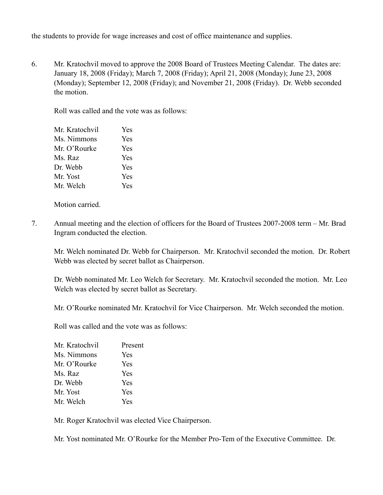the students to provide for wage increases and cost of office maintenance and supplies.

6. Mr. Kratochvil moved to approve the 2008 Board of Trustees Meeting Calendar. The dates are: January 18, 2008 (Friday); March 7, 2008 (Friday); April 21, 2008 (Monday); June 23, 2008 (Monday); September 12, 2008 (Friday); and November 21, 2008 (Friday). Dr. Webb seconded the motion.

Roll was called and the vote was as follows:

| Mr. Kratochvil | Yes |
|----------------|-----|
| Ms. Nimmons    | Yes |
| Mr. O'Rourke   | Yes |
| Ms. Raz        | Yes |
| Dr. Webb       | Yes |
| Mr. Yost       | Yes |
| Mr. Welch      | Yes |

Motion carried.

7. Annual meeting and the election of officers for the Board of Trustees 2007-2008 term – Mr. Brad Ingram conducted the election.

Mr. Welch nominated Dr. Webb for Chairperson. Mr. Kratochvil seconded the motion. Dr. Robert Webb was elected by secret ballot as Chairperson.

Dr. Webb nominated Mr. Leo Welch for Secretary. Mr. Kratochvil seconded the motion. Mr. Leo Welch was elected by secret ballot as Secretary.

Mr. O'Rourke nominated Mr. Kratochvil for Vice Chairperson. Mr. Welch seconded the motion.

Roll was called and the vote was as follows:

| Present |
|---------|
| Yes     |
| Yes     |
| Yes     |
| Yes     |
| Yes     |
| Yes     |
|         |

Mr. Roger Kratochvil was elected Vice Chairperson.

Mr. Yost nominated Mr. O'Rourke for the Member Pro-Tem of the Executive Committee. Dr.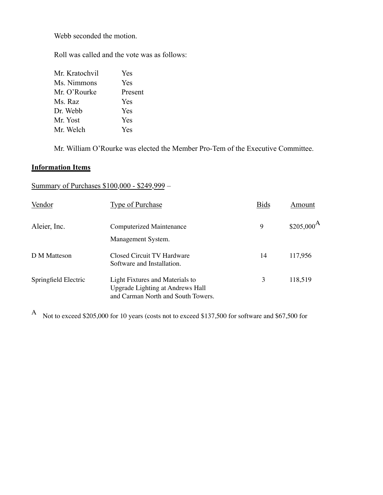Webb seconded the motion.

Roll was called and the vote was as follows:

| Mr. Kratochvil | Yes     |
|----------------|---------|
| Ms. Nimmons    | Yes     |
| Mr. O'Rourke   | Present |
| Ms. Raz        | Yes     |
| Dr. Webb       | Yes     |
| Mr. Yost       | Yes     |
| Mr. Welch      | Yes     |
|                |         |

Mr. William O'Rourke was elected the Member Pro-Tem of the Executive Committee.

# **Information Items**

# Summary of Purchases \$100,000 - \$249,999 –

| Vendor               | <b>Type of Purchase</b>                                                                                   | <b>Bids</b> | Amount                 |
|----------------------|-----------------------------------------------------------------------------------------------------------|-------------|------------------------|
| Aleier, Inc.         | Computerized Maintenance<br>Management System.                                                            | 9           | $$205,000^{\text{A}}$$ |
| D M Matteson         | Closed Circuit TV Hardware<br>Software and Installation.                                                  | 14          | 117,956                |
| Springfield Electric | Light Fixtures and Materials to<br>Upgrade Lighting at Andrews Hall<br>and Carman North and South Towers. | 3           | 118,519                |

<sup>A</sup> Not to exceed \$205,000 for 10 years (costs not to exceed \$137,500 for software and \$67,500 for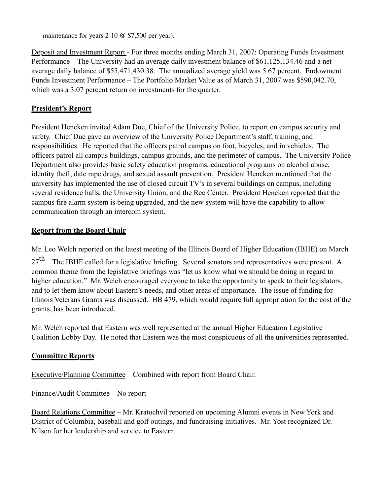maintenance for years 2-10 @ \$7,500 per year).

Deposit and Investment Report - For three months ending March 31, 2007: Operating Funds Investment Performance – The University had an average daily investment balance of \$61,125,134.46 and a net average daily balance of \$55,471,430.38. The annualized average yield was 5.67 percent. Endowment Funds Investment Performance – The Portfolio Market Value as of March 31, 2007 was \$590,042.70, which was a 3.07 percent return on investments for the quarter.

## **President's Report**

President Hencken invited Adam Due, Chief of the University Police, to report on campus security and safety. Chief Due gave an overview of the University Police Department's staff, training, and responsibilities. He reported that the officers patrol campus on foot, bicycles, and in vehicles. The officers patrol all campus buildings, campus grounds, and the perimeter of campus. The University Police Department also provides basic safety education programs, educational programs on alcohol abuse, identity theft, date rape drugs, and sexual assault prevention. President Hencken mentioned that the university has implemented the use of closed circuit TV's in several buildings on campus, including several residence halls, the University Union, and the Rec Center. President Hencken reported that the campus fire alarm system is being upgraded, and the new system will have the capability to allow communication through an intercom system.

# **Report from the Board Chair**

Mr. Leo Welch reported on the latest meeting of the Illinois Board of Higher Education (IBHE) on March

 $27<sup>th</sup>$ . The IBHE called for a legislative briefing. Several senators and representatives were present. A common theme from the legislative briefings was "let us know what we should be doing in regard to higher education." Mr. Welch encouraged everyone to take the opportunity to speak to their legislators, and to let them know about Eastern's needs, and other areas of importance. The issue of funding for Illinois Veterans Grants was discussed. HB 479, which would require full appropriation for the cost of the grants, has been introduced.

Mr. Welch reported that Eastern was well represented at the annual Higher Education Legislative Coalition Lobby Day. He noted that Eastern was the most conspicuous of all the universities represented.

# **Committee Reports**

Executive/Planning Committee – Combined with report from Board Chair.

Finance/Audit Committee – No report

Board Relations Committee – Mr. Kratochvil reported on upcoming Alumni events in New York and District of Columbia, baseball and golf outings, and fundraising initiatives. Mr. Yost recognized Dr. Nilsen for her leadership and service to Eastern.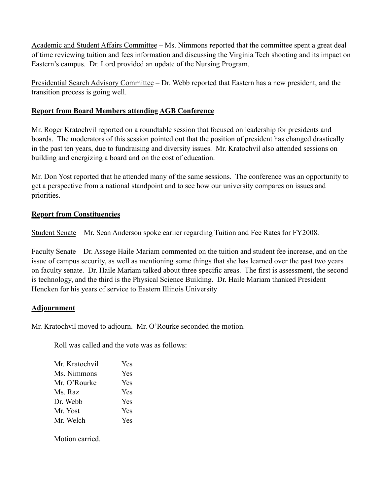Academic and Student Affairs Committee – Ms. Nimmons reported that the committee spent a great deal of time reviewing tuition and fees information and discussing the Virginia Tech shooting and its impact on Eastern's campus. Dr. Lord provided an update of the Nursing Program.

Presidential Search Advisory Committee – Dr. Webb reported that Eastern has a new president, and the transition process is going well.

# **Report from Board Members attending AGB Conference**

Mr. Roger Kratochvil reported on a roundtable session that focused on leadership for presidents and boards. The moderators of this session pointed out that the position of president has changed drastically in the past ten years, due to fundraising and diversity issues. Mr. Kratochvil also attended sessions on building and energizing a board and on the cost of education.

Mr. Don Yost reported that he attended many of the same sessions. The conference was an opportunity to get a perspective from a national standpoint and to see how our university compares on issues and priorities.

# **Report from Constituencies**

Student Senate – Mr. Sean Anderson spoke earlier regarding Tuition and Fee Rates for FY2008.

Faculty Senate – Dr. Assege Haile Mariam commented on the tuition and student fee increase, and on the issue of campus security, as well as mentioning some things that she has learned over the past two years on faculty senate. Dr. Haile Mariam talked about three specific areas. The first is assessment, the second is technology, and the third is the Physical Science Building. Dr. Haile Mariam thanked President Hencken for his years of service to Eastern Illinois University

## **Adjournment**

Mr. Kratochvil moved to adjourn. Mr. O'Rourke seconded the motion.

Roll was called and the vote was as follows:

| Mr. Kratochvil | <b>Yes</b> |
|----------------|------------|
| Ms. Nimmons    | Yes        |
| Mr. O'Rourke   | Yes        |
| Ms. Raz        | Yes        |
| Dr. Webb       | Yes        |
| Mr. Yost       | Yes        |
| Mr. Welch      | Yes        |

Motion carried.